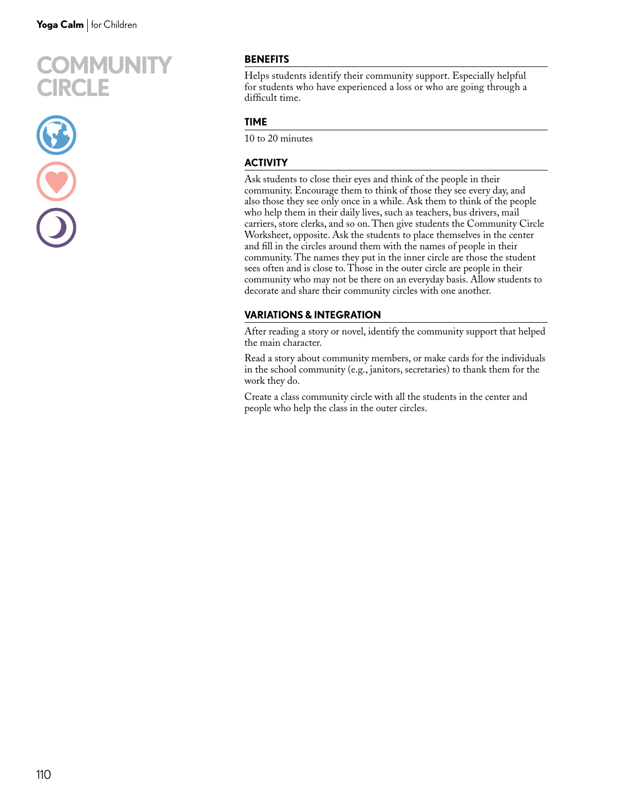



## **BENEFITS**

Helps students identify their community support. Especially helpful for students who have experienced a loss or who are going through a difficult time.

#### **TIME**

10 to 20 minutes

### **ACTIVITY**

Ask students to close their eyes and think of the people in their community. Encourage them to think of those they see every day, and also those they see only once in a while. Ask them to think of the people who help them in their daily lives, such as teachers, bus drivers, mail carriers, store clerks, and so on. Then give students the Community Circle Worksheet, opposite. Ask the students to place themselves in the center and fill in the circles around them with the names of people in their community. The names they put in the inner circle are those the student sees often and is close to. Those in the outer circle are people in their community who may not be there on an everyday basis. Allow students to decorate and share their community circles with one another.

#### **VARIATIONS & INTEGRATION**

After reading a story or novel, identify the community support that helped the main character.

Read a story about community members, or make cards for the individuals in the school community (e.g., janitors, secretaries) to thank them for the work they do.

Create a class community circle with all the students in the center and people who help the class in the outer circles.